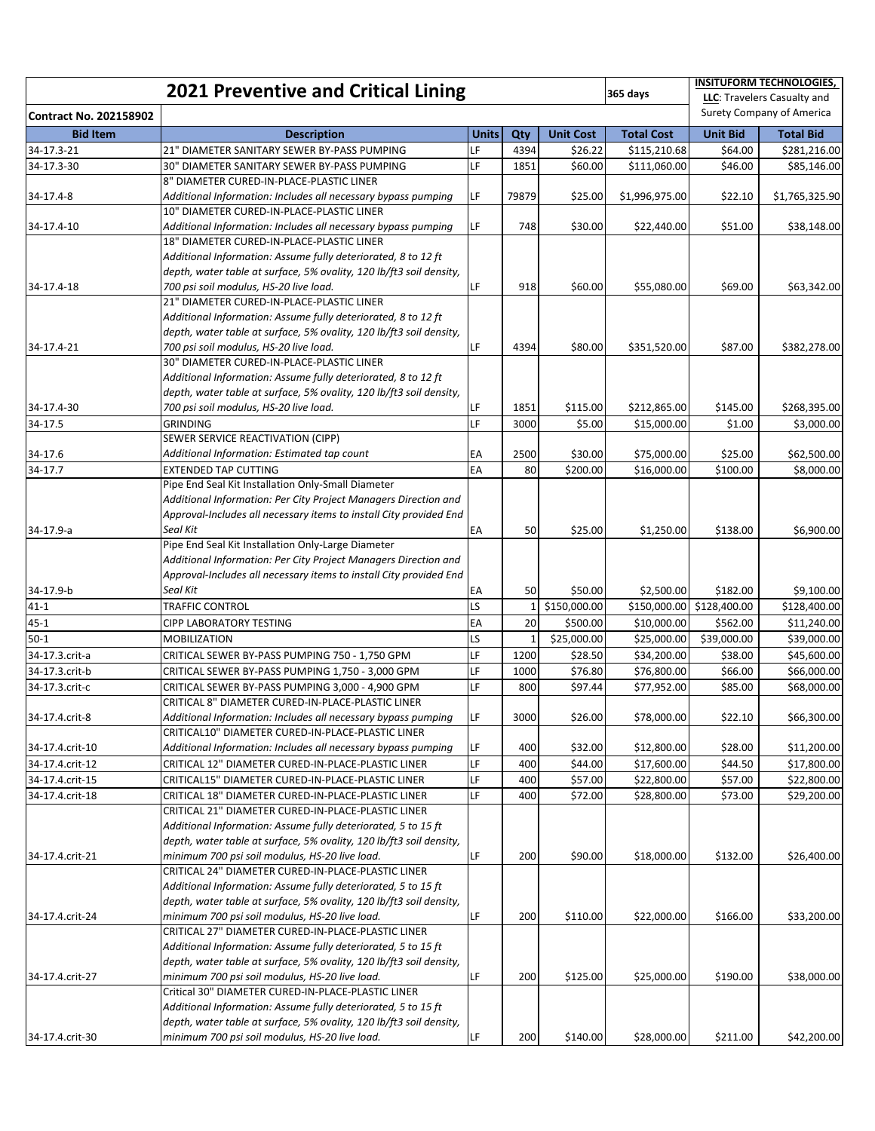| <b>2021 Preventive and Critical Lining</b><br>365 days |                                                                                                                                      |              |                |                  |                   | <b>INSITUFORM TECHNOLOGIES,</b><br>LLC: Travelers Casualty and |                  |
|--------------------------------------------------------|--------------------------------------------------------------------------------------------------------------------------------------|--------------|----------------|------------------|-------------------|----------------------------------------------------------------|------------------|
| <b>Contract No. 202158902</b>                          |                                                                                                                                      |              |                |                  |                   | Surety Company of America                                      |                  |
| <b>Bid Item</b>                                        | <b>Description</b>                                                                                                                   | <b>Units</b> | Qty            | <b>Unit Cost</b> | <b>Total Cost</b> | <b>Unit Bid</b>                                                | <b>Total Bid</b> |
| 34-17.3-21                                             | 21" DIAMETER SANITARY SEWER BY-PASS PUMPING                                                                                          | LF           | 4394           | \$26.22          | \$115,210.68      | \$64.00                                                        | \$281,216.00     |
| 34-17.3-30                                             | 30" DIAMETER SANITARY SEWER BY-PASS PUMPING                                                                                          | LF           | 1851           | \$60.00          | \$111,060.00      | \$46.00                                                        | \$85,146.00      |
|                                                        | 8" DIAMETER CURED-IN-PLACE-PLASTIC LINER                                                                                             |              |                |                  |                   |                                                                |                  |
| 34-17.4-8                                              | Additional Information: Includes all necessary bypass pumping                                                                        | LF           | 79879          | \$25.00          | \$1,996,975.00    | \$22.10                                                        | \$1,765,325.90   |
|                                                        | 10" DIAMETER CURED-IN-PLACE-PLASTIC LINER                                                                                            |              |                |                  |                   |                                                                |                  |
| 34-17.4-10                                             | Additional Information: Includes all necessary bypass pumping                                                                        | LF           | 748            | \$30.00          | \$22,440.00       | \$51.00                                                        | \$38,148.00      |
|                                                        | 18" DIAMETER CURED-IN-PLACE-PLASTIC LINER                                                                                            |              |                |                  |                   |                                                                |                  |
|                                                        | Additional Information: Assume fully deteriorated, 8 to 12 ft                                                                        |              |                |                  |                   |                                                                |                  |
|                                                        | depth, water table at surface, 5% ovality, 120 lb/ft3 soil density,                                                                  |              |                |                  |                   |                                                                |                  |
| 34-17.4-18                                             | 700 psi soil modulus, HS-20 live load.                                                                                               | LF           | 918            | \$60.00          | \$55,080.00       | \$69.00                                                        | \$63,342.00      |
|                                                        | 21" DIAMETER CURED-IN-PLACE-PLASTIC LINER                                                                                            |              |                |                  |                   |                                                                |                  |
|                                                        | Additional Information: Assume fully deteriorated, 8 to 12 ft<br>depth, water table at surface, 5% ovality, 120 lb/ft3 soil density, |              |                |                  |                   |                                                                |                  |
|                                                        | 700 psi soil modulus, HS-20 live load.                                                                                               | LF           |                |                  |                   |                                                                |                  |
| 34-17.4-21                                             | 30" DIAMETER CURED-IN-PLACE-PLASTIC LINER                                                                                            |              | 4394           | \$80.00          | \$351,520.00      | \$87.00                                                        | \$382,278.00     |
|                                                        | Additional Information: Assume fully deteriorated, 8 to 12 ft                                                                        |              |                |                  |                   |                                                                |                  |
|                                                        | depth, water table at surface, 5% ovality, 120 lb/ft3 soil density,                                                                  |              |                |                  |                   |                                                                |                  |
| 34-17.4-30                                             | 700 psi soil modulus, HS-20 live load.                                                                                               | LF           | 1851           | \$115.00         | \$212,865.00      | \$145.00                                                       | \$268,395.00     |
| 34-17.5                                                | <b>GRINDING</b>                                                                                                                      | LF           | 3000           | \$5.00           | \$15,000.00       | \$1.00                                                         | \$3,000.00       |
|                                                        | SEWER SERVICE REACTIVATION (CIPP)                                                                                                    |              |                |                  |                   |                                                                |                  |
| 34-17.6                                                | Additional Information: Estimated tap count                                                                                          | EA           | 2500           | \$30.00          | \$75,000.00       | \$25.00                                                        | \$62,500.00      |
| 34-17.7                                                | <b>EXTENDED TAP CUTTING</b>                                                                                                          | EA           | 80             | \$200.00         | \$16,000.00       | \$100.00                                                       | \$8,000.00       |
|                                                        | Pipe End Seal Kit Installation Only-Small Diameter                                                                                   |              |                |                  |                   |                                                                |                  |
|                                                        | Additional Information: Per City Project Managers Direction and                                                                      |              |                |                  |                   |                                                                |                  |
|                                                        | Approval-Includes all necessary items to install City provided End                                                                   |              |                |                  |                   |                                                                |                  |
| 34-17.9-a                                              | Seal Kit                                                                                                                             | EA           | 50             | \$25.00          | \$1,250.00        | \$138.00                                                       | \$6,900.00       |
|                                                        | Pipe End Seal Kit Installation Only-Large Diameter                                                                                   |              |                |                  |                   |                                                                |                  |
|                                                        | Additional Information: Per City Project Managers Direction and                                                                      |              |                |                  |                   |                                                                |                  |
|                                                        | Approval-Includes all necessary items to install City provided End                                                                   |              |                |                  |                   |                                                                |                  |
| 34-17.9-b                                              | Seal Kit                                                                                                                             | EA           | 50             | \$50.00          | \$2,500.00        | \$182.00                                                       | \$9,100.00       |
| $41 - 1$                                               | <b>TRAFFIC CONTROL</b>                                                                                                               | LS           | 1 <sup>1</sup> | \$150,000.00     |                   | \$150,000.00 \$128,400.00                                      | \$128,400.00     |
| $45 - 1$                                               | <b>CIPP LABORATORY TESTING</b>                                                                                                       | EA           | 20             | \$500.00         | \$10,000.00       | \$562.00                                                       | \$11,240.00      |
| $50-1$                                                 | MOBILIZATION                                                                                                                         | LS           | $\mathbf{1}$   | \$25,000.00      | \$25,000.00       | \$39,000.00                                                    | \$39,000.00      |
| 34-17.3.crit-a                                         | CRITICAL SEWER BY-PASS PUMPING 750 - 1,750 GPM                                                                                       | LF           | 1200           | \$28.50          | \$34,200.00       | \$38.00                                                        | \$45,600.00      |
| 34-17.3.crit-b                                         | CRITICAL SEWER BY-PASS PUMPING 1,750 - 3,000 GPM                                                                                     | LF           | 1000           | \$76.80          | \$76,800.00       | \$66.00                                                        | \$66,000.00      |
| 34-17.3.crit-c                                         | CRITICAL SEWER BY-PASS PUMPING 3,000 - 4,900 GPM                                                                                     | LF           | 800            | \$97.44          | \$77,952.00       | \$85.00                                                        | \$68,000.00      |
|                                                        | CRITICAL 8" DIAMETER CURED-IN-PLACE-PLASTIC LINER                                                                                    |              |                |                  |                   |                                                                |                  |
| 34-17.4.crit-8                                         | Additional Information: Includes all necessary bypass pumping                                                                        | LF           | 3000           | \$26.00          | \$78,000.00       | \$22.10                                                        | \$66,300.00      |
|                                                        | CRITICAL10" DIAMETER CURED-IN-PLACE-PLASTIC LINER                                                                                    |              |                |                  |                   |                                                                |                  |
| 34-17.4.crit-10                                        | Additional Information: Includes all necessary bypass pumping                                                                        | LF           | 400            | \$32.00          | \$12,800.00       | \$28.00                                                        | \$11,200.00      |
| 34-17.4.crit-12                                        | CRITICAL 12" DIAMETER CURED-IN-PLACE-PLASTIC LINER                                                                                   | LF           | 400            | \$44.00          | \$17,600.00       | \$44.50                                                        | \$17,800.00      |
| 34-17.4.crit-15                                        | CRITICAL15" DIAMETER CURED-IN-PLACE-PLASTIC LINER                                                                                    | LF           | 400            | \$57.00          | \$22,800.00       | \$57.00                                                        | \$22,800.00      |
| 34-17.4.crit-18                                        | CRITICAL 18" DIAMETER CURED-IN-PLACE-PLASTIC LINER                                                                                   | LF           | 400            | \$72.00          | \$28,800.00       | \$73.00                                                        | \$29,200.00      |
|                                                        | CRITICAL 21" DIAMETER CURED-IN-PLACE-PLASTIC LINER                                                                                   |              |                |                  |                   |                                                                |                  |
|                                                        | Additional Information: Assume fully deteriorated, 5 to 15 ft                                                                        |              |                |                  |                   |                                                                |                  |
|                                                        | depth, water table at surface, 5% ovality, 120 lb/ft3 soil density,                                                                  |              |                |                  |                   |                                                                |                  |
| 34-17.4.crit-21                                        | minimum 700 psi soil modulus, HS-20 live load.<br>CRITICAL 24" DIAMETER CURED-IN-PLACE-PLASTIC LINER                                 | LF           | 200            | \$90.00          | \$18,000.00       | \$132.00                                                       | \$26,400.00      |
|                                                        |                                                                                                                                      |              |                |                  |                   |                                                                |                  |
|                                                        | Additional Information: Assume fully deteriorated, 5 to 15 ft<br>depth, water table at surface, 5% ovality, 120 lb/ft3 soil density, |              |                |                  |                   |                                                                |                  |
| 34-17.4.crit-24                                        | minimum 700 psi soil modulus, HS-20 live load.                                                                                       | LF           | 200            | \$110.00         | \$22,000.00       | \$166.00                                                       | \$33,200.00      |
|                                                        | CRITICAL 27" DIAMETER CURED-IN-PLACE-PLASTIC LINER                                                                                   |              |                |                  |                   |                                                                |                  |
|                                                        | Additional Information: Assume fully deteriorated, 5 to 15 ft                                                                        |              |                |                  |                   |                                                                |                  |
|                                                        | depth, water table at surface, 5% ovality, 120 lb/ft3 soil density,                                                                  |              |                |                  |                   |                                                                |                  |
| 34-17.4.crit-27                                        | minimum 700 psi soil modulus, HS-20 live load.                                                                                       | LF           | 200            | \$125.00         | \$25,000.00       | \$190.00                                                       | \$38,000.00      |
|                                                        | Critical 30" DIAMETER CURED-IN-PLACE-PLASTIC LINER                                                                                   |              |                |                  |                   |                                                                |                  |
|                                                        | Additional Information: Assume fully deteriorated, 5 to 15 ft                                                                        |              |                |                  |                   |                                                                |                  |
|                                                        | depth, water table at surface, 5% ovality, 120 lb/ft3 soil density,                                                                  |              |                |                  |                   |                                                                |                  |
| 34-17.4.crit-30                                        | minimum 700 psi soil modulus, HS-20 live load.                                                                                       | LF           | 200            | \$140.00         | \$28,000.00       | \$211.00                                                       | \$42,200.00      |